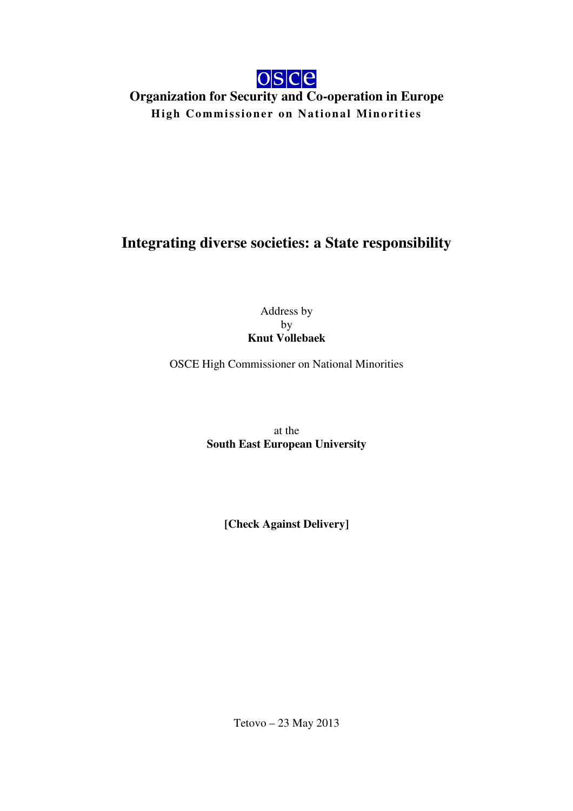

## **Organization for Security and Co-operation in Europe High Commissioner on National Minorities**

## **Integrating diverse societies: a State responsibility**

Address by by **Knut Vollebaek** 

OSCE High Commissioner on National Minorities

at the **South East European University** 

**[Check Against Delivery]** 

Tetovo – 23 May 2013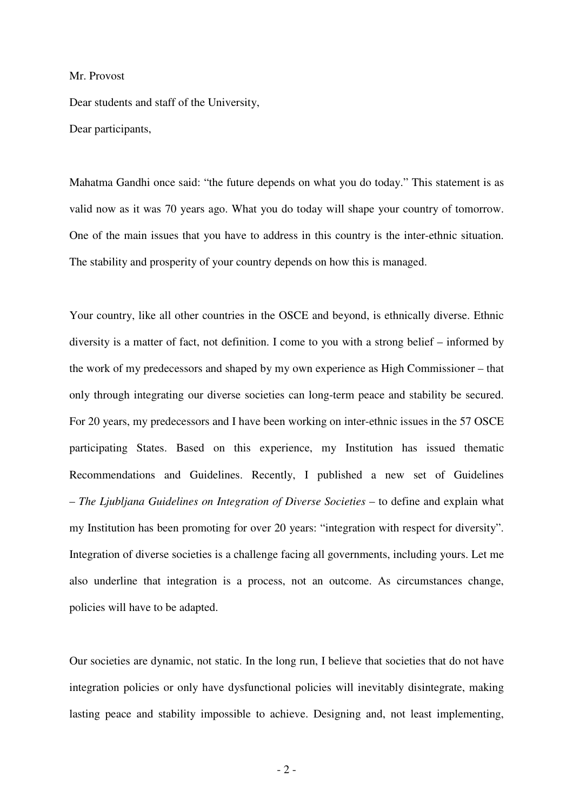## Mr. Provost

Dear students and staff of the University, Dear participants,

Mahatma Gandhi once said: "the future depends on what you do today." This statement is as valid now as it was 70 years ago. What you do today will shape your country of tomorrow. One of the main issues that you have to address in this country is the inter-ethnic situation. The stability and prosperity of your country depends on how this is managed.

Your country, like all other countries in the OSCE and beyond, is ethnically diverse. Ethnic diversity is a matter of fact, not definition. I come to you with a strong belief – informed by the work of my predecessors and shaped by my own experience as High Commissioner – that only through integrating our diverse societies can long-term peace and stability be secured. For 20 years, my predecessors and I have been working on inter-ethnic issues in the 57 OSCE participating States. Based on this experience, my Institution has issued thematic Recommendations and Guidelines. Recently, I published a new set of Guidelines – *The Ljubljana Guidelines on Integration of Diverse Societies* – to define and explain what my Institution has been promoting for over 20 years: "integration with respect for diversity". Integration of diverse societies is a challenge facing all governments, including yours. Let me also underline that integration is a process, not an outcome. As circumstances change, policies will have to be adapted.

Our societies are dynamic, not static. In the long run, I believe that societies that do not have integration policies or only have dysfunctional policies will inevitably disintegrate, making lasting peace and stability impossible to achieve. Designing and, not least implementing,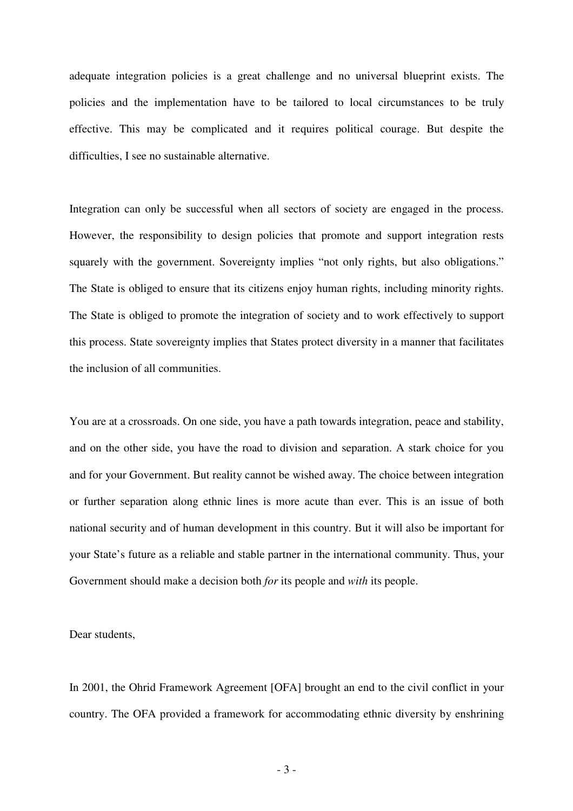adequate integration policies is a great challenge and no universal blueprint exists. The policies and the implementation have to be tailored to local circumstances to be truly effective. This may be complicated and it requires political courage. But despite the difficulties, I see no sustainable alternative.

Integration can only be successful when all sectors of society are engaged in the process. However, the responsibility to design policies that promote and support integration rests squarely with the government. Sovereignty implies "not only rights, but also obligations." The State is obliged to ensure that its citizens enjoy human rights, including minority rights. The State is obliged to promote the integration of society and to work effectively to support this process. State sovereignty implies that States protect diversity in a manner that facilitates the inclusion of all communities.

You are at a crossroads. On one side, you have a path towards integration, peace and stability, and on the other side, you have the road to division and separation. A stark choice for you and for your Government. But reality cannot be wished away. The choice between integration or further separation along ethnic lines is more acute than ever. This is an issue of both national security and of human development in this country. But it will also be important for your State's future as a reliable and stable partner in the international community. Thus, your Government should make a decision both *for* its people and *with* its people.

Dear students,

In 2001, the Ohrid Framework Agreement [OFA] brought an end to the civil conflict in your country. The OFA provided a framework for accommodating ethnic diversity by enshrining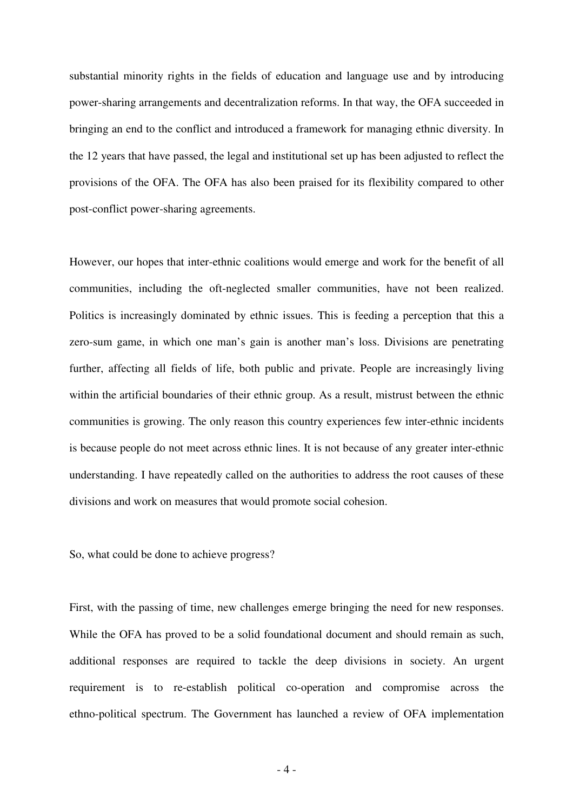substantial minority rights in the fields of education and language use and by introducing power-sharing arrangements and decentralization reforms. In that way, the OFA succeeded in bringing an end to the conflict and introduced a framework for managing ethnic diversity. In the 12 years that have passed, the legal and institutional set up has been adjusted to reflect the provisions of the OFA. The OFA has also been praised for its flexibility compared to other post-conflict power-sharing agreements.

However, our hopes that inter-ethnic coalitions would emerge and work for the benefit of all communities, including the oft-neglected smaller communities, have not been realized. Politics is increasingly dominated by ethnic issues. This is feeding a perception that this a zero-sum game, in which one man's gain is another man's loss. Divisions are penetrating further, affecting all fields of life, both public and private. People are increasingly living within the artificial boundaries of their ethnic group. As a result, mistrust between the ethnic communities is growing. The only reason this country experiences few inter-ethnic incidents is because people do not meet across ethnic lines. It is not because of any greater inter-ethnic understanding. I have repeatedly called on the authorities to address the root causes of these divisions and work on measures that would promote social cohesion.

So, what could be done to achieve progress?

First, with the passing of time, new challenges emerge bringing the need for new responses. While the OFA has proved to be a solid foundational document and should remain as such, additional responses are required to tackle the deep divisions in society. An urgent requirement is to re-establish political co-operation and compromise across the ethno-political spectrum. The Government has launched a review of OFA implementation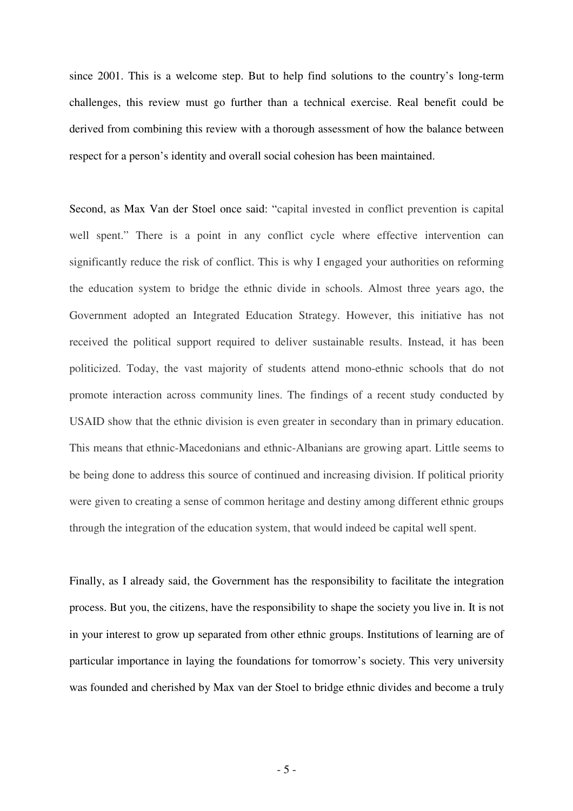since 2001. This is a welcome step. But to help find solutions to the country's long-term challenges, this review must go further than a technical exercise. Real benefit could be derived from combining this review with a thorough assessment of how the balance between respect for a person's identity and overall social cohesion has been maintained.

Second, as Max Van der Stoel once said: "capital invested in conflict prevention is capital well spent." There is a point in any conflict cycle where effective intervention can significantly reduce the risk of conflict. This is why I engaged your authorities on reforming the education system to bridge the ethnic divide in schools. Almost three years ago, the Government adopted an Integrated Education Strategy. However, this initiative has not received the political support required to deliver sustainable results. Instead, it has been politicized. Today, the vast majority of students attend mono-ethnic schools that do not promote interaction across community lines. The findings of a recent study conducted by USAID show that the ethnic division is even greater in secondary than in primary education. This means that ethnic-Macedonians and ethnic-Albanians are growing apart. Little seems to be being done to address this source of continued and increasing division. If political priority were given to creating a sense of common heritage and destiny among different ethnic groups through the integration of the education system, that would indeed be capital well spent.

Finally, as I already said, the Government has the responsibility to facilitate the integration process. But you, the citizens, have the responsibility to shape the society you live in. It is not in your interest to grow up separated from other ethnic groups. Institutions of learning are of particular importance in laying the foundations for tomorrow's society. This very university was founded and cherished by Max van der Stoel to bridge ethnic divides and become a truly